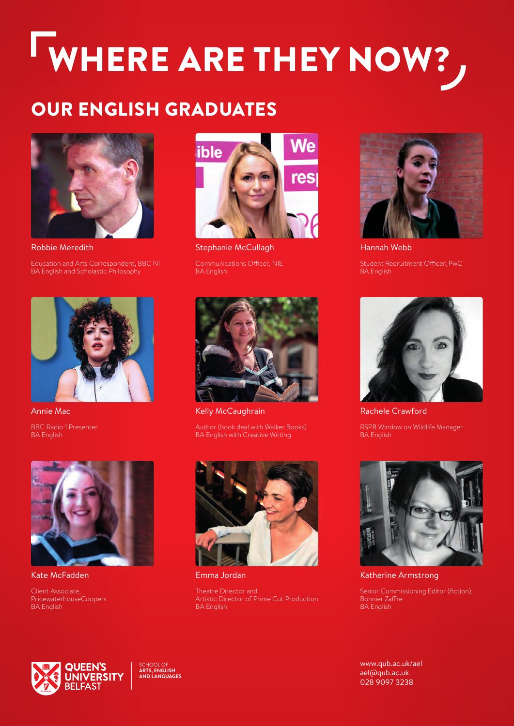## WHERE ARE THEY NOW?,

## OUR ENGLISH GRADUATES



Robbie Meredith Education and Arts Correspondent, BBC NI BA English and Scholastic Philosophy



Annie Mac BBC Radio 1 Presenter

BA English



Kate McFadden

Client Associate, PricewaterhouseCoopers BA English



Stephanie McCullagh Communications Officer, NIE BA English



Kelly McCaughrain

Author (book deal with Walker Books) BA English with Creative Writing



Emma Jordan

Theatre Director and Artistic Director of Prime Cut Production BA English



Hannah Webb Student Recruitment Officer, PwC BA English



Rachele Crawford RSPB Window on Wildlife Manager

**BA English** 



Katherine Armstrong

Senior Commissioning Editor (fiction), Bonnier Zaffre BA English



SCHOOL OF **ARTS, ENGLISH AND LANGUAGES**

[www.qub.ac.uk/ael](http://www.qub.ac.uk/ael) [ael@qub.ac.uk](mailto:ael@qub.ac.uk)  028 9097 3238